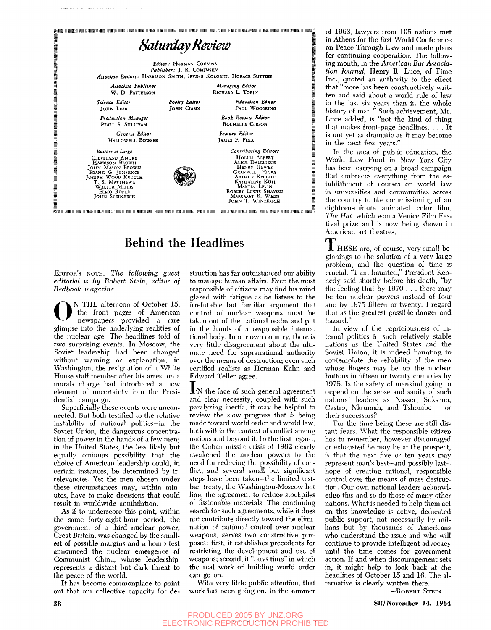

# Behind the Headlines

EDITOR'S NOTE: *The following guest editorial is by Robert Stein, editor of Redbook magazine.* 

O N THE afternoon of October 15, the front pages of American newspapers provided a rare glimpse into the underlying realities of the nuclear age. The headlines told of two surprising events: In Moscow, the Soviet leadership had been changed without warning or explanation; in Washington, the resignation of a White House staff member after his arrest on a morals charge had introduced a new element of uncertainty into the Presidential campaign.

Superficially these events were unconnected. But both testified to the relative instability of national politics—in the Soviet Union, the dangerous concentration of power in the hands of a few men; in the United States, the less likely but equally ominous possibility that the choice of American leadership could, in certain instances, be determined by irrelevancies. Yet the men chosen under these circumstances may, within minutes, have to make decisions that could result in worldwide annihilation.

As if to underscore this point, within the same forty-eight-hour period, the government of a third nuclear power. Great Britain, was changed by the smallest of possible margins and a bomb test announced the nuclear emergence of Communist China, whose leadership represents a distant but dark threat to the peace of the world.

It has become commonplace to point out that our collective capacity for de-

struction has far outdistanced our ability to manage human affairs. Even the most responsible of citizens may find his mind glazed with fatigue as he listens to the irrefutable but familiar argument that control of nuclear weapons must be taken out of the national realm and put in the hands of a responsible international body. In our own country, there is very little disagreement about the ultimate need for supranational authority over the means of destruction; even such certified realists as Herman Kahn and Edward Teller agree.

**I** N the face of such general agreement and clear necessity, coupled with such paralyzing inertia, it may be helpful to review the slow progress that *is* being made toward world order and world law, both within the context of conflict among nations and beyond it. In the first regard, the Cuban missile crisis of 1962 clearly awakened the nuclear powers to the need for reducing the possibility of conflict, and several small but significant steps have been taken—the limited testban treaty, the Washington-Moscow hot line, the agreement to reduce stockpiles of fissionable materials. The continuing search for such agreements, while it does not contribute directly toward the elimination of national control over nuclear weapons, serves two constructive purposes: first, it establishes precedents for restricting the development and use of weapons; second, it "buys time" in which the real work of building world order can go on.

With very little public attention, that work has been going on. In the summer of 1963, lawyers from 105 nations met in Athens for the first World Conference on Peace Through Law and made plans for continuing cooperation. The following month, in the *American Bar Association Journal,* Henry R. Luce, of Time Inc., quoted an authority to the effect that "more has been constructively written and said about a world rule of law in the last six years than in the whole history of man." Such achievement, Mr. Luce added, is "not the kind of thing that makes front-page headlines. .. . It is not yet as dramatic as it may become in the next few years."

In the area of public education, the World Law Fund in New York City has been carrying on a broad campaign that embraces everything from the establishment of courses on world law in universities and communities across the country to the commissioning of an eighteen-minute animated color film. *The Hat,* which won a Venice Film Festival prize and is now being shown in American art theatres.

JL HESE are, of course, very small beginnings to the solution of a very large problem, and the question of time is crucial. "I am haunted," President Kennedy said shortly before his death, "by the feeling that by 1970 . . . there may be ten nuclear powers instead of four and by 1975 fifteen or twenty. I regard that as the greatest possible danger and hazard."

In view of the capriciousness of internal politics in such relatively stable nations as the United States and the Soviet Union, it is indeed haunting to contemplate the reliability of the men whose fingers may be on the nuclear buttons in fifteen or twenty countries by 1975. Is the safety of mankind going to depend on the sense and sanity of such national leaders as Nasser, Sukarno, Castro, Nkrumah, and Tshombe — or their successors?

For the time being these are still distant fears. What the responsible citizen has to remember, however discouraged or exhausted he may be at the prospect, is that the next five or ten years may represent man's best—and possibly lasthope of creating rational, responsible control over the means of mass destruction. Our own national leaders acknowledge this and so do those of many other nations. What is needed to help them act on this knowledge is active, dedicated public support, not necessarily by millions but by thousands of Americans who understand the issue and who will continue to provide intelligent advocacy until the time comes for government action. If and when discouragement sets in, it might help to look back at the headlines of October 15 and 16. The alternative is clearly written there.

-ROBERT STEIN.

### PRODUCED 2005 BY UNZ.ORG ELECTRONIC REPRODUCTION PROHIBITED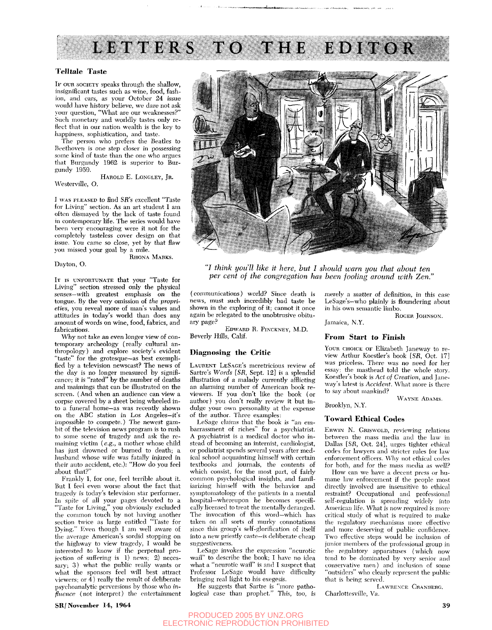

#### **Telltale Taste**

IF OUR SOCIETY speaks through the shallow, insignificant tastes such as wine, food, fashion, and cars, as your October 24 issue would have history believe, we dare not ask your question, "What are our weaknesses?" Such monetary and worldly tastes only reflect that in our nation wealth is the key to happiness, sophistication, and taste.

The person who prefers the Beatles to Beethoven is one step closer in possessing some kind of taste than the one who argues that Burgundy 1902 is superior to Burgundy 1959.

HAROLD E. LONGLEY, JR. Westerville, O.

I WAS PLEASED to find SR's excellent "Taste for Living" section. As an art student I am often dismayed by the lack of taste found in contemporary life. The series would have been very encouraging were it not for the completely tasteless cover design on that issue. You came so close, yet by that flaw you missed your goal by a mile.

RHONA MARKS.

Dayton, O.

IT IS UNFORTUNATE that your "Taste for Living" section stressed only the physical senses—with greatest emphasis on the tongue. By the very omission of *the proprieties,* you reveal more of man's values and attitudes in today's world than does any amount of words on wine, food, fabrics, and fabrications.

Why not take an even longer view of contemporary archeology (really cultural anthropology) and explore society's evident "taste" for the grotesque—as best exemplified by a television newscast? The news of the day is no longer measured by significance; it is "rated" by the number of deaths and maimings that can be illustrated on the screen. (And when an audience can view a corpse covered by a sheet being wheeled into a funeral home—as was recently shown on the ABC station in Los Angeles—it's impossible to compete.) The newest gambit of the television news program is to rush to some scene of tragedy and ask the remaining victim (e.g., a mother whose child has just drowned or burned to death; a husband whose wife was fatally injured in their auto accident, etc.): "How do you feel about that?"

Frankly I, for one, feel terrible about it. But I feel even worse about the fact that tragedy is today's television star performer. In spite of all your pages devoted to a "Taste for Living," you obviously excluded the common touch by not having another section twice as large entitled "Taste for Dying." Even though I am well aware of the average American's sordid stopping on the highway to view tragedy, I would be interested to know if the perpetual projection of suffering is 1) news; 2) necessary; 3) what the public really wants or what the sponsors feel will best attract viewers; or  $\tilde{4}$ ) really the result of deliberate psychoanalytic perversions by those who *infltience* (not interpret) the entertainment



*"I think you'll like it here, but I should warn you that about ten per cent of the congregation has been fooling around with Zen.'* 

(communications) world? Since death is news, must such incredibly bad taste be shown in the exploring of it; cannot it once again be relegated to the unobtrusive obituary page?

EDWARD R. PINCKNEY, M.D. Beverly Hills, Calif.

#### **Diagnosing the Critic**

LAURENT LESAGE'S meretricious review of Sartre's *Words* [SR, Sept. 12] is a splendid illustration of a malady currently afflicting an alarming number of American book reviewers. If you don't like the book (or author) you don't really review it but indulge your own personality at the expense of the author. Three examples:

LeSage claims that the book is "an embarrassment of riches" for a psychiatrist. A psychiatrist is a medical doctor who instead of becoming an internist, cardiologist, or podiatrist spends several years after medical school acquainting himself with certain textbooks and journals, the contents of which consist, for the most part, of fairly common psychological insights, and familiarizing himself with the behavior and symptomatology of the patients in a mental hospital—whereupon he becomes specifically licensed to treat the mentally deranged. The invocation of this word—which has taken on all sorts of murky connotations since this group's self-glorification of itself into a new priestly caste-is deliberate cheap suggestiveness.

I^eSage invokes the expression "neurotic wail" to describe the book; I have no idea what a "neurotic wail" is and I suspect that Professor LeSage would have difficulty bringing real light to his exegesis.

He suggests that Sartre is "more pathological case than prophet." This, too, is merely a matter of definition, in this case LeSage's—who plainly is floundering about in his own semantic limbo.

ROGER JOHNSON.

Jamaica, N.Y.

#### **From Start to Finish**

YOUR CHOICE OF Elizabeth Janeway to review Arthur Koestler's book [SR, Oct. 17] was priceless. There was no need for her essay: the masthead told the whole story. Koestler's book is *Act of Creation,* and Janeway's latest is *Accident.* What more is there to say about mankind?

WAYNE ADAMS. Brooklyn, N.Y.

#### **Toward Ethical Codes**

ERWIN N. GRISWOLD, reviewing relations between the mass media and the law in Dallas [SR, Oct. 24], urges tighter ethical codes for lawyers and stricter rules for law enforcement officers. Why not ethical codes for both, and for the mass media as well?

How can we have a decent press or humane law enforcement if the people most directly involved are insensitive to ethical restraint? Occupational and professional self-regulation is spreading widely into American life. What is now required is more critical study of what is required to make the regulatory mechanisms more effective and more deserving of public confidence. Two effective steps would be inclusion of junior members of the professional group in the regulatory apparatuses (which now tend to be dominated by very senior and conservative men) and inclusion of some "outsiders" who clearly represent the public that is being served.

LAWRENCE CRANBERG. Charlottesville, Va.

# PRODUCED 2005 BY UNZ.ORG ELECTRONIC REPRODUCTION PROHIBITED